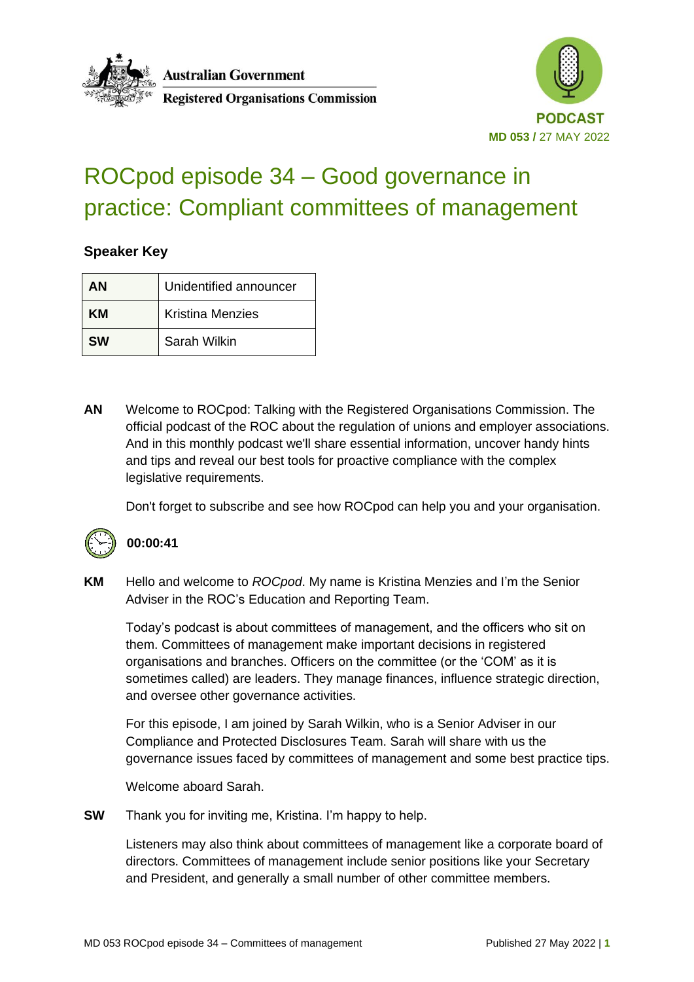



# ROCpod episode 34 – Good governance in practice: Compliant committees of management

#### **Speaker Key**

| ΑN        | Unidentified announcer  |
|-----------|-------------------------|
| ĸм        | <b>Kristina Menzies</b> |
| <b>SW</b> | Sarah Wilkin            |

**AN** Welcome to ROCpod: Talking with the Registered Organisations Commission. The official podcast of the ROC about the regulation of unions and employer associations. And in this monthly podcast we'll share essential information, uncover handy hints and tips and reveal our best tools for proactive compliance with the complex legislative requirements.

Don't forget to subscribe and see how ROCpod can help you and your organisation.



### **00:00:41**

**KM** Hello and welcome to *ROCpod*. My name is Kristina Menzies and I'm the Senior Adviser in the ROC's Education and Reporting Team.

Today's podcast is about committees of management, and the officers who sit on them. Committees of management make important decisions in registered organisations and branches. Officers on the committee (or the 'COM' as it is sometimes called) are leaders. They manage finances, influence strategic direction, and oversee other governance activities.

For this episode, I am joined by Sarah Wilkin, who is a Senior Adviser in our Compliance and Protected Disclosures Team. Sarah will share with us the governance issues faced by committees of management and some best practice tips.

Welcome aboard Sarah.

**SW** Thank you for inviting me, Kristina. I'm happy to help.

Listeners may also think about committees of management like a corporate board of directors. Committees of management include senior positions like your Secretary and President, and generally a small number of other committee members.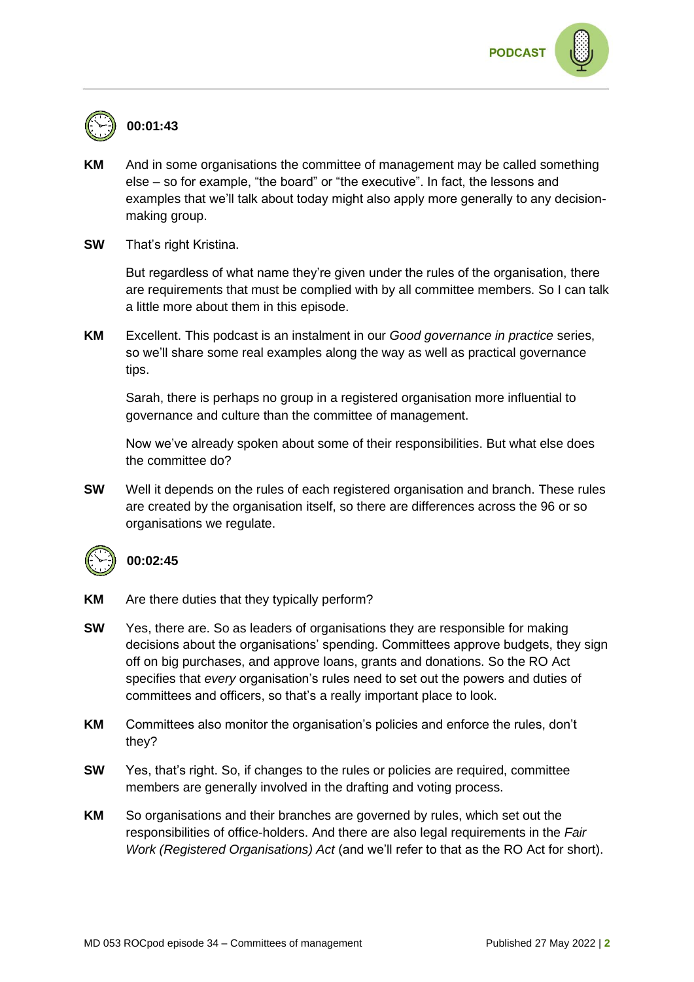

# **00:01:43**

- **KM** And in some organisations the committee of management may be called something else – so for example, "the board" or "the executive". In fact, the lessons and examples that we'll talk about today might also apply more generally to any decisionmaking group.
- **SW** That's right Kristina.

But regardless of what name they're given under the rules of the organisation, there are requirements that must be complied with by all committee members. So I can talk a little more about them in this episode.

**KM** Excellent. This podcast is an instalment in our *Good governance in practice* series, so we'll share some real examples along the way as well as practical governance tips.

Sarah, there is perhaps no group in a registered organisation more influential to governance and culture than the committee of management.

Now we've already spoken about some of their responsibilities. But what else does the committee do?

**SW** Well it depends on the rules of each registered organisation and branch. These rules are created by the organisation itself, so there are differences across the 96 or so organisations we regulate.



### **00:02:45**

- **KM** Are there duties that they typically perform?
- **SW** Yes, there are. So as leaders of organisations they are responsible for making decisions about the organisations' spending. Committees approve budgets, they sign off on big purchases, and approve loans, grants and donations. So the RO Act specifies that *every* organisation's rules need to set out the powers and duties of committees and officers, so that's a really important place to look.
- **KM** Committees also monitor the organisation's policies and enforce the rules, don't they?
- **SW** Yes, that's right. So, if changes to the rules or policies are required, committee members are generally involved in the drafting and voting process.
- **KM** So organisations and their branches are governed by rules, which set out the responsibilities of office-holders. And there are also legal requirements in the *Fair Work (Registered Organisations) Act* (and we'll refer to that as the RO Act for short).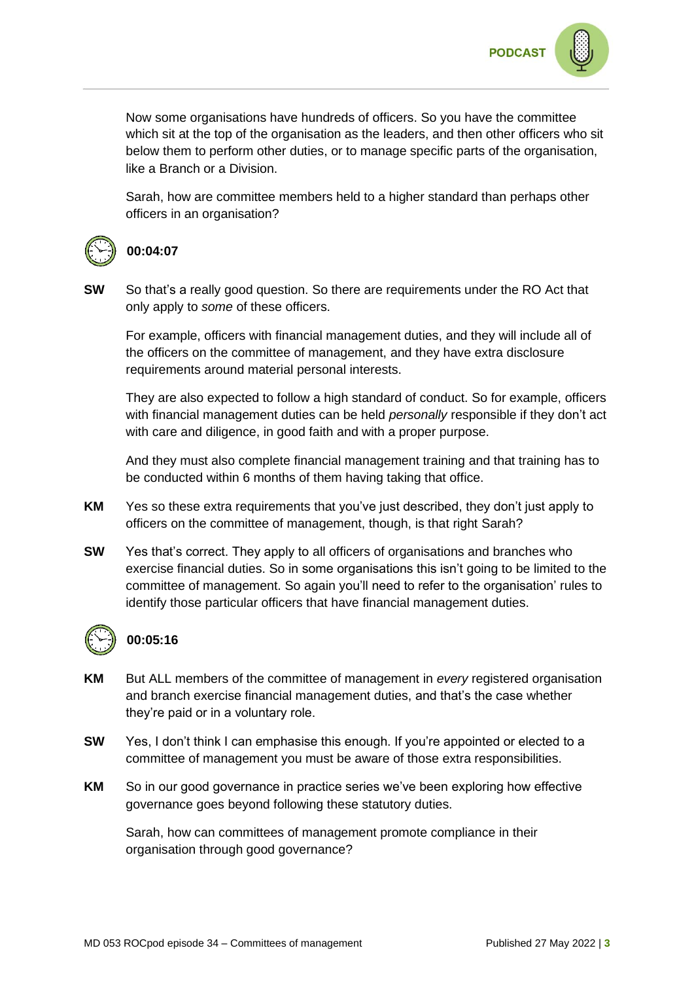

Now some organisations have hundreds of officers. So you have the committee which sit at the top of the organisation as the leaders, and then other officers who sit below them to perform other duties, or to manage specific parts of the organisation, like a Branch or a Division.

Sarah, how are committee members held to a higher standard than perhaps other officers in an organisation?



### **00:04:07**

**SW** So that's a really good question. So there are requirements under the RO Act that only apply to *some* of these officers.

For example, officers with financial management duties, and they will include all of the officers on the committee of management, and they have extra disclosure requirements around material personal interests.

They are also expected to follow a high standard of conduct. So for example, officers with financial management duties can be held *personally* responsible if they don't act with care and diligence, in good faith and with a proper purpose.

And they must also complete financial management training and that training has to be conducted within 6 months of them having taking that office.

- **KM** Yes so these extra requirements that you've just described, they don't just apply to officers on the committee of management, though, is that right Sarah?
- **SW** Yes that's correct. They apply to all officers of organisations and branches who exercise financial duties. So in some organisations this isn't going to be limited to the committee of management. So again you'll need to refer to the organisation' rules to identify those particular officers that have financial management duties.



### **00:05:16**

- **KM** But ALL members of the committee of management in *every* registered organisation and branch exercise financial management duties, and that's the case whether they're paid or in a voluntary role.
- **SW** Yes, I don't think I can emphasise this enough. If you're appointed or elected to a committee of management you must be aware of those extra responsibilities.
- **KM** So in our good governance in practice series we've been exploring how effective governance goes beyond following these statutory duties.

Sarah, how can committees of management promote compliance in their organisation through good governance?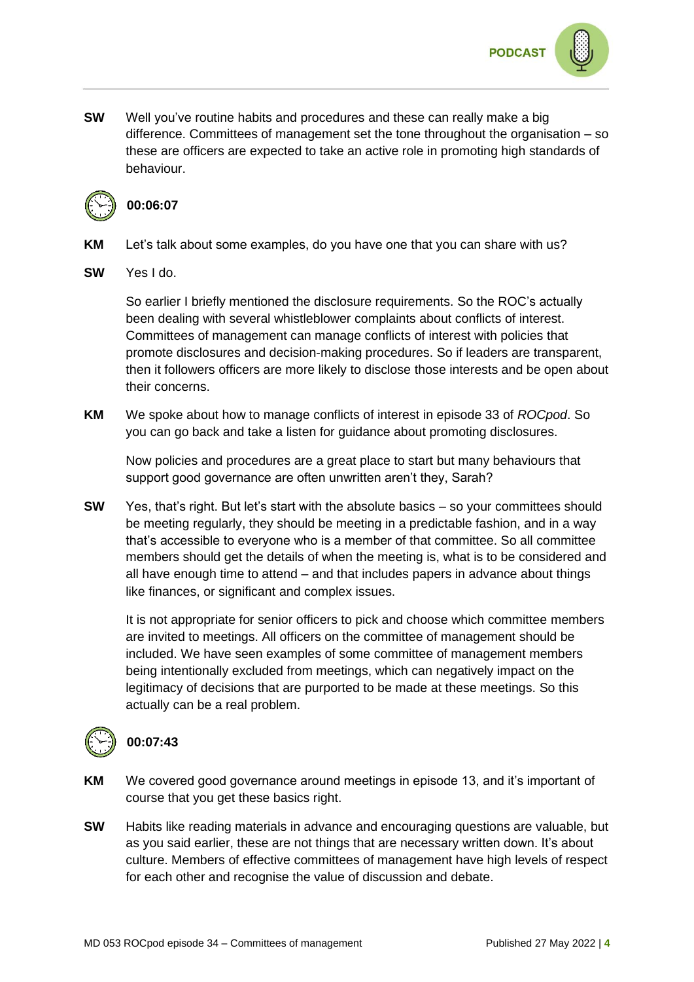

**SW** Well you've routine habits and procedures and these can really make a big difference. Committees of management set the tone throughout the organisation – so these are officers are expected to take an active role in promoting high standards of behaviour.



#### **00:06:07**

- **KM** Let's talk about some examples, do you have one that you can share with us?
- **SW** Yes I do.

So earlier I briefly mentioned the disclosure requirements. So the ROC's actually been dealing with several whistleblower complaints about conflicts of interest. Committees of management can manage conflicts of interest with policies that promote disclosures and decision-making procedures. So if leaders are transparent, then it followers officers are more likely to disclose those interests and be open about their concerns.

**KM** We spoke about how to manage conflicts of interest in episode 33 of *ROCpod*. So you can go back and take a listen for guidance about promoting disclosures.

Now policies and procedures are a great place to start but many behaviours that support good governance are often unwritten aren't they, Sarah?

**SW** Yes, that's right. But let's start with the absolute basics – so your committees should be meeting regularly, they should be meeting in a predictable fashion, and in a way that's accessible to everyone who is a member of that committee. So all committee members should get the details of when the meeting is, what is to be considered and all have enough time to attend – and that includes papers in advance about things like finances, or significant and complex issues.

It is not appropriate for senior officers to pick and choose which committee members are invited to meetings. All officers on the committee of management should be included. We have seen examples of some committee of management members being intentionally excluded from meetings, which can negatively impact on the legitimacy of decisions that are purported to be made at these meetings. So this actually can be a real problem.



## **00:07:43**

- **KM** We covered good governance around meetings in episode 13, and it's important of course that you get these basics right.
- **SW** Habits like reading materials in advance and encouraging questions are valuable, but as you said earlier, these are not things that are necessary written down. It's about culture. Members of effective committees of management have high levels of respect for each other and recognise the value of discussion and debate.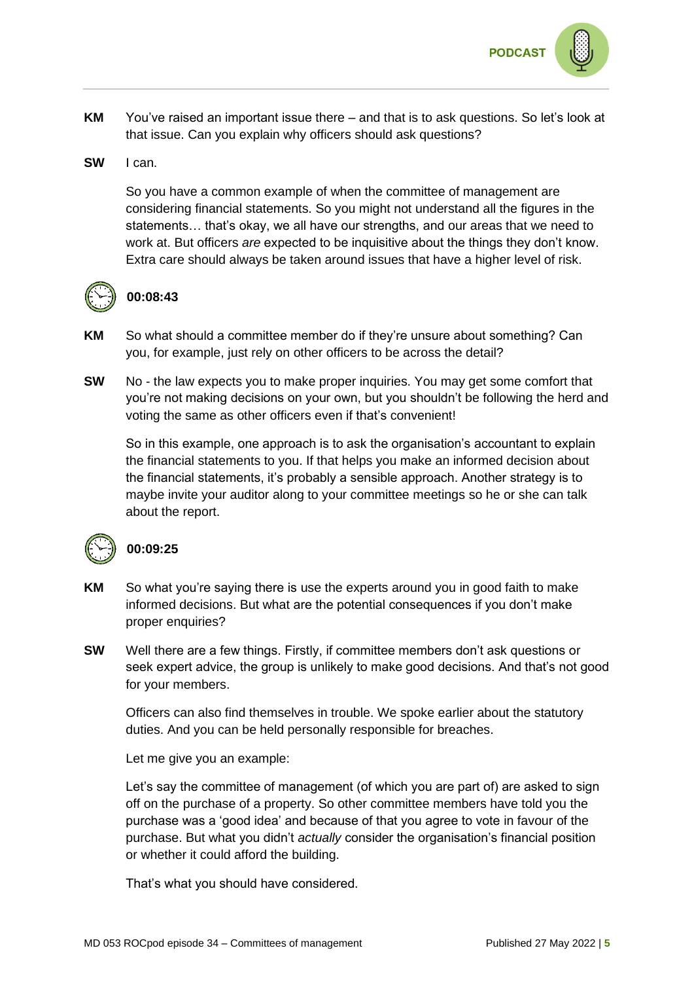

- **KM** You've raised an important issue there and that is to ask questions. So let's look at that issue. Can you explain why officers should ask questions?
- **SW** I can.

So you have a common example of when the committee of management are considering financial statements. So you might not understand all the figures in the statements… that's okay, we all have our strengths, and our areas that we need to work at. But officers *are* expected to be inquisitive about the things they don't know. Extra care should always be taken around issues that have a higher level of risk.



### **00:08:43**

- **KM** So what should a committee member do if they're unsure about something? Can you, for example, just rely on other officers to be across the detail?
- **SW** No the law expects you to make proper inquiries. You may get some comfort that you're not making decisions on your own, but you shouldn't be following the herd and voting the same as other officers even if that's convenient!

So in this example, one approach is to ask the organisation's accountant to explain the financial statements to you. If that helps you make an informed decision about the financial statements, it's probably a sensible approach. Another strategy is to maybe invite your auditor along to your committee meetings so he or she can talk about the report.



#### **00:09:25**

- **KM** So what you're saying there is use the experts around you in good faith to make informed decisions. But what are the potential consequences if you don't make proper enquiries?
- **SW** Well there are a few things. Firstly, if committee members don't ask questions or seek expert advice, the group is unlikely to make good decisions. And that's not good for your members.

Officers can also find themselves in trouble. We spoke earlier about the statutory duties. And you can be held personally responsible for breaches.

Let me give you an example:

Let's say the committee of management (of which you are part of) are asked to sign off on the purchase of a property. So other committee members have told you the purchase was a 'good idea' and because of that you agree to vote in favour of the purchase. But what you didn't *actually* consider the organisation's financial position or whether it could afford the building.

That's what you should have considered.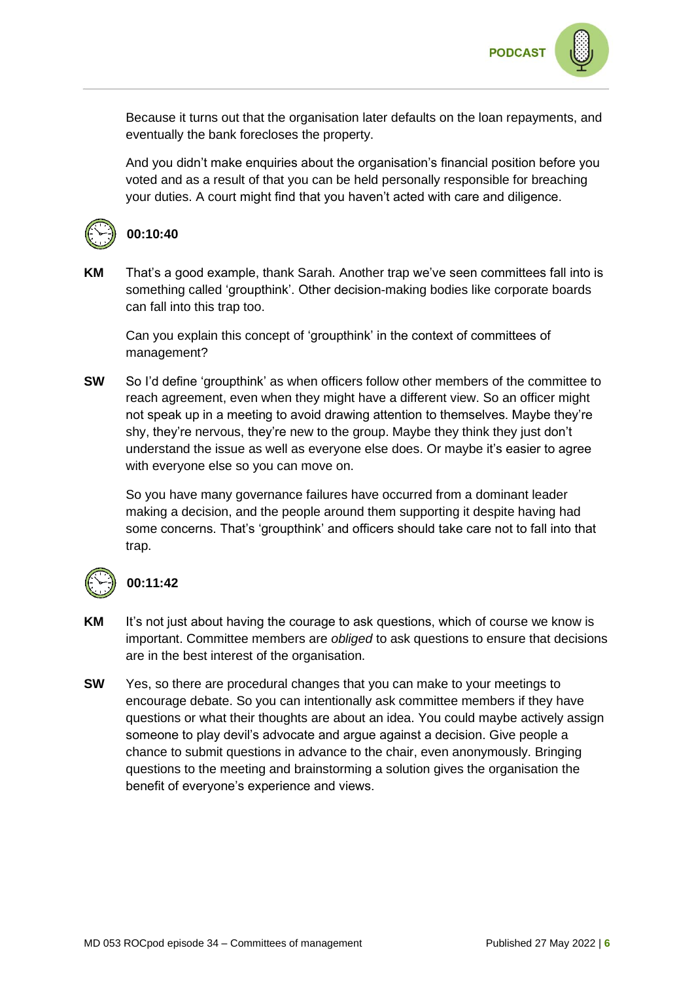

Because it turns out that the organisation later defaults on the loan repayments, and eventually the bank forecloses the property.

And you didn't make enquiries about the organisation's financial position before you voted and as a result of that you can be held personally responsible for breaching your duties. A court might find that you haven't acted with care and diligence.



# **00:10:40**

**KM** That's a good example, thank Sarah. Another trap we've seen committees fall into is something called 'groupthink'. Other decision-making bodies like corporate boards can fall into this trap too.

Can you explain this concept of 'groupthink' in the context of committees of management?

**SW** So I'd define 'groupthink' as when officers follow other members of the committee to reach agreement, even when they might have a different view. So an officer might not speak up in a meeting to avoid drawing attention to themselves. Maybe they're shy, they're nervous, they're new to the group. Maybe they think they just don't understand the issue as well as everyone else does. Or maybe it's easier to agree with everyone else so you can move on.

So you have many governance failures have occurred from a dominant leader making a decision, and the people around them supporting it despite having had some concerns. That's 'groupthink' and officers should take care not to fall into that trap.



# **00:11:42**

- **KM** It's not just about having the courage to ask questions, which of course we know is important. Committee members are *obliged* to ask questions to ensure that decisions are in the best interest of the organisation.
- **SW** Yes, so there are procedural changes that you can make to your meetings to encourage debate. So you can intentionally ask committee members if they have questions or what their thoughts are about an idea. You could maybe actively assign someone to play devil's advocate and argue against a decision. Give people a chance to submit questions in advance to the chair, even anonymously. Bringing questions to the meeting and brainstorming a solution gives the organisation the benefit of everyone's experience and views.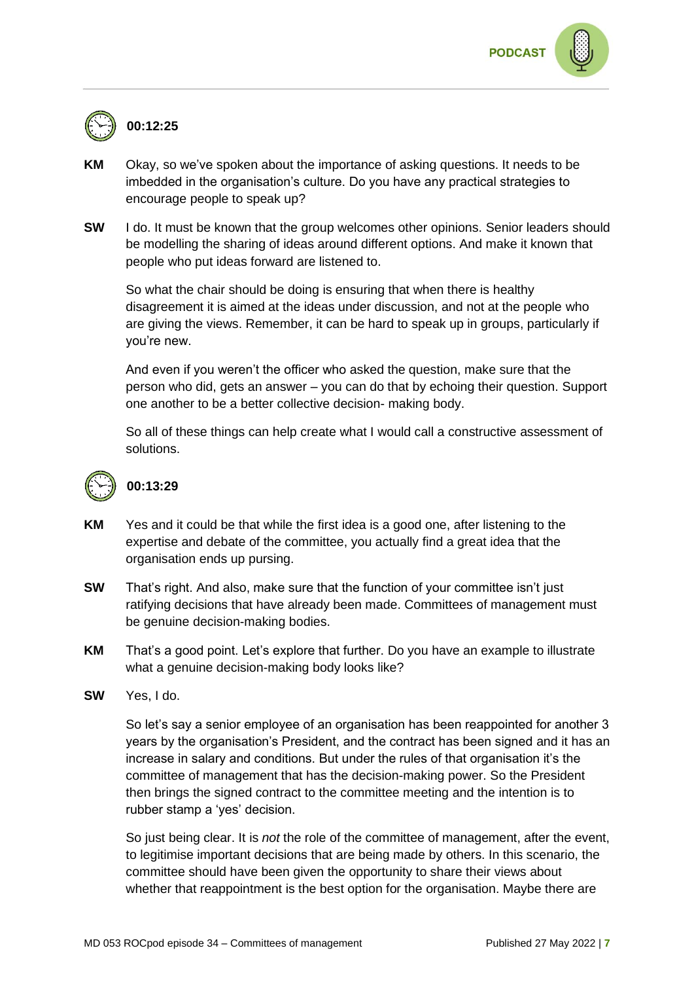

# **00:12:25**

- **KM** Okay, so we've spoken about the importance of asking questions. It needs to be imbedded in the organisation's culture. Do you have any practical strategies to encourage people to speak up?
- **SW** I do. It must be known that the group welcomes other opinions. Senior leaders should be modelling the sharing of ideas around different options. And make it known that people who put ideas forward are listened to.

So what the chair should be doing is ensuring that when there is healthy disagreement it is aimed at the ideas under discussion, and not at the people who are giving the views. Remember, it can be hard to speak up in groups, particularly if you're new.

And even if you weren't the officer who asked the question, make sure that the person who did, gets an answer – you can do that by echoing their question. Support one another to be a better collective decision- making body.

So all of these things can help create what I would call a constructive assessment of solutions.



# **00:13:29**

- **KM** Yes and it could be that while the first idea is a good one, after listening to the expertise and debate of the committee, you actually find a great idea that the organisation ends up pursing.
- **SW** That's right. And also, make sure that the function of your committee isn't just ratifying decisions that have already been made. Committees of management must be genuine decision-making bodies.
- **KM** That's a good point. Let's explore that further. Do you have an example to illustrate what a genuine decision-making body looks like?
- **SW** Yes, I do.

So let's say a senior employee of an organisation has been reappointed for another 3 years by the organisation's President, and the contract has been signed and it has an increase in salary and conditions. But under the rules of that organisation it's the committee of management that has the decision-making power. So the President then brings the signed contract to the committee meeting and the intention is to rubber stamp a 'yes' decision.

So just being clear. It is *not* the role of the committee of management, after the event, to legitimise important decisions that are being made by others. In this scenario, the committee should have been given the opportunity to share their views about whether that reappointment is the best option for the organisation. Maybe there are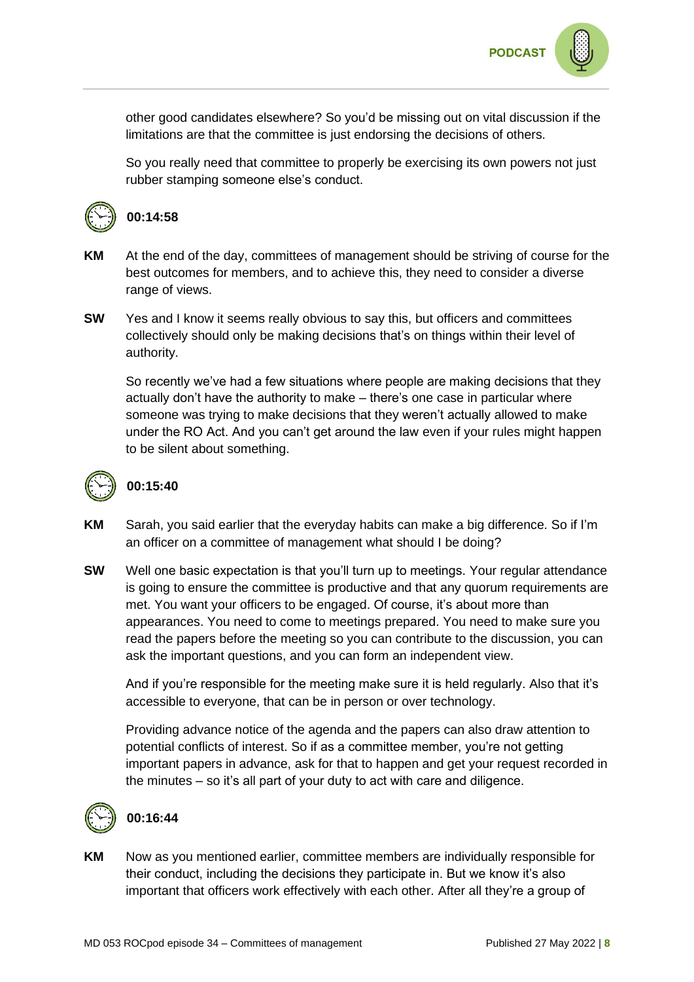

other good candidates elsewhere? So you'd be missing out on vital discussion if the limitations are that the committee is just endorsing the decisions of others.

So you really need that committee to properly be exercising its own powers not just rubber stamping someone else's conduct.



### **00:14:58**

- **KM** At the end of the day, committees of management should be striving of course for the best outcomes for members, and to achieve this, they need to consider a diverse range of views.
- **SW** Yes and I know it seems really obvious to say this, but officers and committees collectively should only be making decisions that's on things within their level of authority.

So recently we've had a few situations where people are making decisions that they actually don't have the authority to make – there's one case in particular where someone was trying to make decisions that they weren't actually allowed to make under the RO Act. And you can't get around the law even if your rules might happen to be silent about something.



### **00:15:40**

- **KM** Sarah, you said earlier that the everyday habits can make a big difference. So if I'm an officer on a committee of management what should I be doing?
- **SW** Well one basic expectation is that you'll turn up to meetings. Your regular attendance is going to ensure the committee is productive and that any quorum requirements are met. You want your officers to be engaged. Of course, it's about more than appearances. You need to come to meetings prepared. You need to make sure you read the papers before the meeting so you can contribute to the discussion, you can ask the important questions, and you can form an independent view.

And if you're responsible for the meeting make sure it is held regularly. Also that it's accessible to everyone, that can be in person or over technology.

Providing advance notice of the agenda and the papers can also draw attention to potential conflicts of interest. So if as a committee member, you're not getting important papers in advance, ask for that to happen and get your request recorded in the minutes – so it's all part of your duty to act with care and diligence.



### **00:16:44**

**KM** Now as you mentioned earlier, committee members are individually responsible for their conduct, including the decisions they participate in. But we know it's also important that officers work effectively with each other. After all they're a group of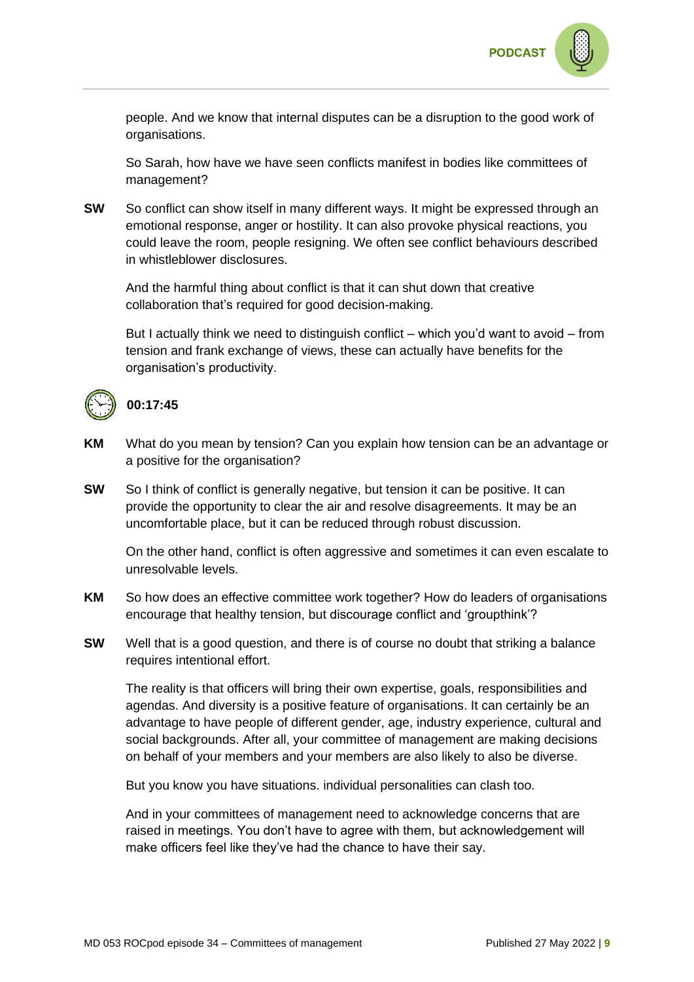

So Sarah, how have we have seen conflicts manifest in bodies like committees of management?

**SW** So conflict can show itself in many different ways. It might be expressed through an emotional response, anger or hostility. It can also provoke physical reactions, you could leave the room, people resigning. We often see conflict behaviours described in whistleblower disclosures.

And the harmful thing about conflict is that it can shut down that creative collaboration that's required for good decision-making.

But I actually think we need to distinguish conflict – which you'd want to avoid – from tension and frank exchange of views, these can actually have benefits for the organisation's productivity.



### **00:17:45**

- **KM** What do you mean by tension? Can you explain how tension can be an advantage or a positive for the organisation?
- **SW** So I think of conflict is generally negative, but tension it can be positive. It can provide the opportunity to clear the air and resolve disagreements. It may be an uncomfortable place, but it can be reduced through robust discussion.

On the other hand, conflict is often aggressive and sometimes it can even escalate to unresolvable levels.

- **KM** So how does an effective committee work together? How do leaders of organisations encourage that healthy tension, but discourage conflict and 'groupthink'?
- **SW** Well that is a good question, and there is of course no doubt that striking a balance requires intentional effort.

The reality is that officers will bring their own expertise, goals, responsibilities and agendas. And diversity is a positive feature of organisations. It can certainly be an advantage to have people of different gender, age, industry experience, cultural and social backgrounds. After all, your committee of management are making decisions on behalf of your members and your members are also likely to also be diverse.

But you know you have situations. individual personalities can clash too.

And in your committees of management need to acknowledge concerns that are raised in meetings. You don't have to agree with them, but acknowledgement will make officers feel like they've had the chance to have their say.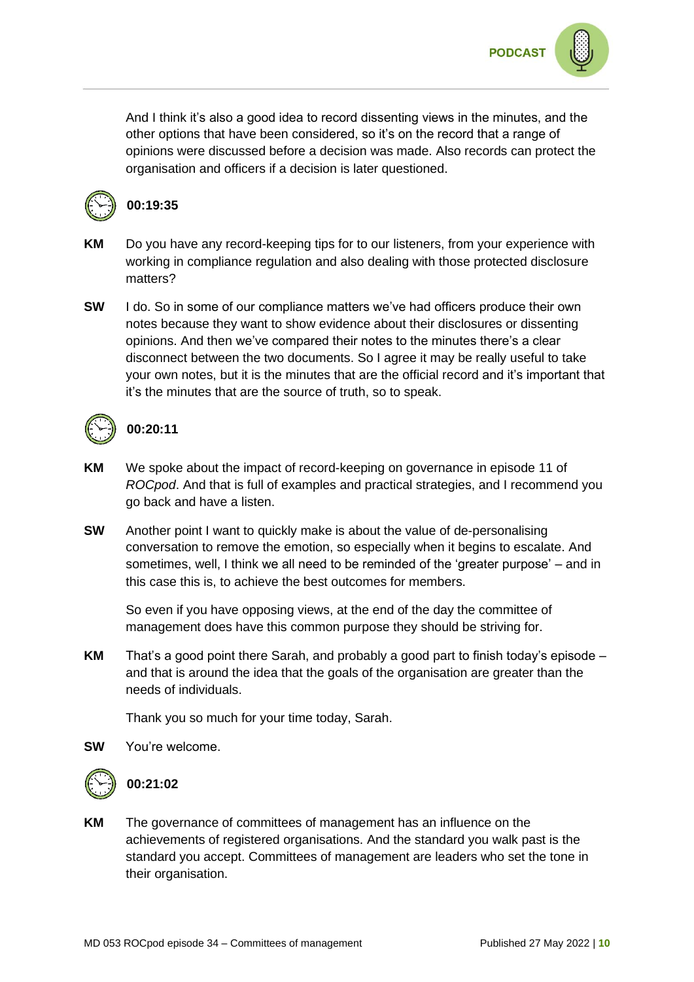

And I think it's also a good idea to record dissenting views in the minutes, and the other options that have been considered, so it's on the record that a range of opinions were discussed before a decision was made. Also records can protect the organisation and officers if a decision is later questioned.



### **00:19:35**

- **KM** Do you have any record-keeping tips for to our listeners, from your experience with working in compliance regulation and also dealing with those protected disclosure matters?
- **SW** I do. So in some of our compliance matters we've had officers produce their own notes because they want to show evidence about their disclosures or dissenting opinions. And then we've compared their notes to the minutes there's a clear disconnect between the two documents. So I agree it may be really useful to take your own notes, but it is the minutes that are the official record and it's important that it's the minutes that are the source of truth, so to speak.



### **00:20:11**

- **KM** We spoke about the impact of record-keeping on governance in episode 11 of *ROCpod*. And that is full of examples and practical strategies, and I recommend you go back and have a listen.
- **SW** Another point I want to quickly make is about the value of de-personalising conversation to remove the emotion, so especially when it begins to escalate. And sometimes, well, I think we all need to be reminded of the 'greater purpose' – and in this case this is, to achieve the best outcomes for members.

So even if you have opposing views, at the end of the day the committee of management does have this common purpose they should be striving for.

**KM** That's a good point there Sarah, and probably a good part to finish today's episode – and that is around the idea that the goals of the organisation are greater than the needs of individuals.

Thank you so much for your time today, Sarah.

**SW** You're welcome.



### **00:21:02**

**KM** The governance of committees of management has an influence on the achievements of registered organisations. And the standard you walk past is the standard you accept. Committees of management are leaders who set the tone in their organisation.